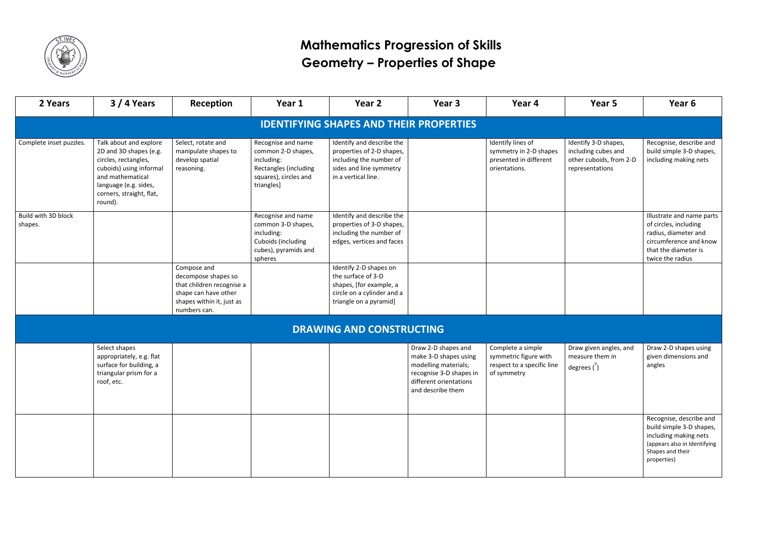

## **Mathematics Progression of Skills Geometry – Properties of Shape**

| 2 Years                        | $3/4$ Years                                                                                                                                                                             | Reception                                                                                                                            | Year 1                                                                                                                 | Year 2                                                                                                                              | Year 3                                                                                                                                         | Year 4                                                                                  | Year 5                                                                                    | Year 6                                                                                                                                           |
|--------------------------------|-----------------------------------------------------------------------------------------------------------------------------------------------------------------------------------------|--------------------------------------------------------------------------------------------------------------------------------------|------------------------------------------------------------------------------------------------------------------------|-------------------------------------------------------------------------------------------------------------------------------------|------------------------------------------------------------------------------------------------------------------------------------------------|-----------------------------------------------------------------------------------------|-------------------------------------------------------------------------------------------|--------------------------------------------------------------------------------------------------------------------------------------------------|
|                                |                                                                                                                                                                                         |                                                                                                                                      |                                                                                                                        | <b>IDENTIFYING SHAPES AND THEIR PROPERTIES</b>                                                                                      |                                                                                                                                                |                                                                                         |                                                                                           |                                                                                                                                                  |
| Complete inset puzzles.        | Talk about and explore<br>2D and 3D shapes (e.g.<br>circles, rectangles,<br>cuboids) using informal<br>and mathematical<br>language (e.g. sides,<br>corners, straight, flat,<br>round). | Select, rotate and<br>manipulate shapes to<br>develop spatial<br>reasoning.                                                          | Recognise and name<br>common 2-D shapes,<br>including:<br>Rectangles (including<br>squares), circles and<br>triangles] | Identify and describe the<br>properties of 2-D shapes,<br>including the number of<br>sides and line symmetry<br>in a vertical line. |                                                                                                                                                | Identify lines of<br>symmetry in 2-D shapes<br>presented in different<br>orientations.  | Identify 3-D shapes,<br>including cubes and<br>other cuboids, from 2-D<br>representations | Recognise, describe and<br>build simple 3-D shapes,<br>including making nets                                                                     |
| Build with 3D block<br>shapes. |                                                                                                                                                                                         |                                                                                                                                      | Recognise and name<br>common 3-D shapes,<br>including:<br>Cuboids (including<br>cubes), pyramids and<br>spheres        | Identify and describe the<br>properties of 3-D shapes,<br>including the number of<br>edges, vertices and faces                      |                                                                                                                                                |                                                                                         |                                                                                           | Illustrate and name parts<br>of circles, including<br>radius, diameter and<br>circumference and know<br>that the diameter is<br>twice the radius |
|                                |                                                                                                                                                                                         | Compose and<br>decompose shapes so<br>that children recognise a<br>shape can have other<br>shapes within it, just as<br>numbers can. |                                                                                                                        | Identify 2-D shapes on<br>the surface of 3-D<br>shapes, [for example, a<br>circle on a cylinder and a<br>triangle on a pyramid]     |                                                                                                                                                |                                                                                         |                                                                                           |                                                                                                                                                  |
|                                |                                                                                                                                                                                         |                                                                                                                                      |                                                                                                                        | <b>DRAWING AND CONSTRUCTING</b>                                                                                                     |                                                                                                                                                |                                                                                         |                                                                                           |                                                                                                                                                  |
|                                | Select shapes<br>appropriately, e.g. flat<br>surface for building, a<br>triangular prism for a<br>roof, etc.                                                                            |                                                                                                                                      |                                                                                                                        |                                                                                                                                     | Draw 2-D shapes and<br>make 3-D shapes using<br>modelling materials;<br>recognise 3-D shapes in<br>different orientations<br>and describe them | Complete a simple<br>symmetric figure with<br>respect to a specific line<br>of symmetry | Draw given angles, and<br>measure them in<br>degrees $'$ )                                | Draw 2-D shapes using<br>given dimensions and<br>angles                                                                                          |
|                                |                                                                                                                                                                                         |                                                                                                                                      |                                                                                                                        |                                                                                                                                     |                                                                                                                                                |                                                                                         |                                                                                           | Recognise, describe and<br>build simple 3-D shapes,<br>including making nets<br>(appears also in Identifying<br>Shapes and their<br>properties)  |